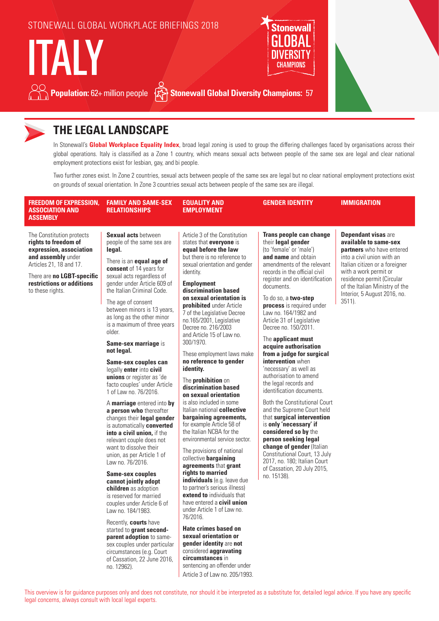

### **THE LEGAL LANDSCAPE**

In Stonewall's **Global Workplace Equality Index**, broad legal zoning is used to group the differing challenges faced by organisations across their global operations. Italy is classified as a Zone 1 country, which means sexual acts between people of the same sex are legal and clear national employment protections exist for lesbian, gay, and bi people.

Two further zones exist. In Zone 2 countries, sexual acts between people of the same sex are legal but no clear national employment protections exist on grounds of sexual orientation. In Zone 3 countries sexual acts between people of the same sex are illegal.

| <b>FREEDOM OF EXPRESSION,</b><br><b>ASSOCIATION AND</b><br><b>ASSEMBLY</b>                                                                                                                                   | <b>FAMILY AND SAME-SEX</b><br><b>RELATIONSHIPS</b>                                                                                                                                                                                                                                                                                                                                                                                                                                                                                                                                                                                                                                                                                                                                                                                                                                                                                                                                                              | <b>EQUALITY AND</b><br><b>EMPLOYMENT</b>                                                                                                                                                                                                                                                                                                                                                                                                                                                                                                                                                                                                                                                                                                                                                                                                                                                                                                                                                                                                                  | <b>GENDER IDENTITY</b>                                                                                                                                                                                                                                                                                                                                                                                                                                                                                                                                                                                                                                                                                                                                                                                                                                                         | <b>IMMIGRATION</b>                                                                                                                                                                                                                                                                     |
|--------------------------------------------------------------------------------------------------------------------------------------------------------------------------------------------------------------|-----------------------------------------------------------------------------------------------------------------------------------------------------------------------------------------------------------------------------------------------------------------------------------------------------------------------------------------------------------------------------------------------------------------------------------------------------------------------------------------------------------------------------------------------------------------------------------------------------------------------------------------------------------------------------------------------------------------------------------------------------------------------------------------------------------------------------------------------------------------------------------------------------------------------------------------------------------------------------------------------------------------|-----------------------------------------------------------------------------------------------------------------------------------------------------------------------------------------------------------------------------------------------------------------------------------------------------------------------------------------------------------------------------------------------------------------------------------------------------------------------------------------------------------------------------------------------------------------------------------------------------------------------------------------------------------------------------------------------------------------------------------------------------------------------------------------------------------------------------------------------------------------------------------------------------------------------------------------------------------------------------------------------------------------------------------------------------------|--------------------------------------------------------------------------------------------------------------------------------------------------------------------------------------------------------------------------------------------------------------------------------------------------------------------------------------------------------------------------------------------------------------------------------------------------------------------------------------------------------------------------------------------------------------------------------------------------------------------------------------------------------------------------------------------------------------------------------------------------------------------------------------------------------------------------------------------------------------------------------|----------------------------------------------------------------------------------------------------------------------------------------------------------------------------------------------------------------------------------------------------------------------------------------|
| The Constitution protects<br>rights to freedom of<br>expression, association<br>and assembly under<br>Articles 21, 18 and 17.<br>There are no LGBT-specific<br>restrictions or additions<br>to these rights. | Sexual acts between<br>people of the same sex are<br>legal.<br>There is an <b>equal age of</b><br>consent of 14 years for<br>sexual acts regardless of<br>gender under Article 609 of<br>the Italian Criminal Code.<br>The age of consent<br>between minors is 13 years,<br>as long as the other minor<br>is a maximum of three years<br>older.<br>Same-sex marriage is<br>not legal.<br>Same-sex couples can<br>legally enter into civil<br>unions or register as 'de<br>facto couples' under Article<br>1 of Law no. 76/2016.<br>A marriage entered into by<br>a person who thereafter<br>changes their legal gender<br>is automatically converted<br>into a civil union, if the<br>relevant couple does not<br>want to dissolve their<br>union, as per Article 1 of<br>Law no. 76/2016.<br><b>Same-sex couples</b><br>cannot jointly adopt<br>children as adoption<br>is reserved for married<br>couples under Article 6 of<br>Law no. 184/1983.<br>Recently, courts have<br>started to <b>grant second-</b> | Article 3 of the Constitution<br>states that everyone is<br>equal before the law<br>but there is no reference to<br>sexual orientation and gender<br>identity.<br><b>Employment</b><br>discrimination based<br>on sexual orientation is<br><b>prohibited</b> under Article<br>7 of the Legislative Decree<br>no.165/2001, Legislative<br>Decree no. 216/2003<br>and Article 15 of Law no.<br>300/1970.<br>These employment laws make<br>no reference to gender<br>identity.<br>The <b>prohibition</b> on<br>discrimination based<br>on sexual orientation<br>is also included in some<br>Italian national collective<br>bargaining agreements,<br>for example Article 58 of<br>the Italian NCBA for the<br>environmental service sector.<br>The provisions of national<br>collective bargaining<br>agreements that grant<br>rights to married<br>individuals (e.g. leave due<br>to partner's serious illness)<br>extend to individuals that<br>have entered a <b>civil union</b><br>under Article 1 of Law no.<br>76/2016.<br><b>Hate crimes based on</b> | Trans people can change<br>their legal gender<br>(to 'female' or 'male')<br>and name and obtain<br>amendments of the relevant<br>records in the official civil<br>register and on identification<br>documents.<br>To do so, a two-step<br>process is required under<br>Law no. 164/1982 and<br>Article 31 of Legislative<br>Decree no. 150/2011.<br>The applicant must<br>acquire authorisation<br>from a judge for surgical<br>intervention when<br>'necessary' as well as<br>authorisation to amend<br>the legal records and<br>identification documents.<br>Both the Constitutional Court<br>and the Supreme Court held<br>that surgical intervention<br>is only 'necessary' if<br>considered so by the<br>person seeking legal<br>change of gender (Italian<br>Constitutional Court, 13 July<br>2017, no. 180; Italian Court<br>of Cassation, 20 July 2015,<br>no. 15138). | <b>Dependant visas are</b><br>available to same-sex<br>partners who have entered<br>into a civil union with an<br>Italian citizen or a foreigner<br>with a work permit or<br>residence permit (Circular<br>of the Italian Ministry of the<br>Interior, 5 August 2016, no.<br>$3511$ ). |

started to **grant secondparent adoption** to samesex couples under particular circumstances (e.g. Court of Cassation, 22 June 2016, no. 12962).

**Hate crimes based on sexual orientation or gender identity** are **not**  considered **aggravating circumstances** in sentencing an offender under Article 3 of Law no. 205/1993.

#### This overview is for guidance purposes only and does not constitute, nor should it be interpreted as a substitute for, detailed legal advice. If you have any specific legal concerns, always consult with local legal experts.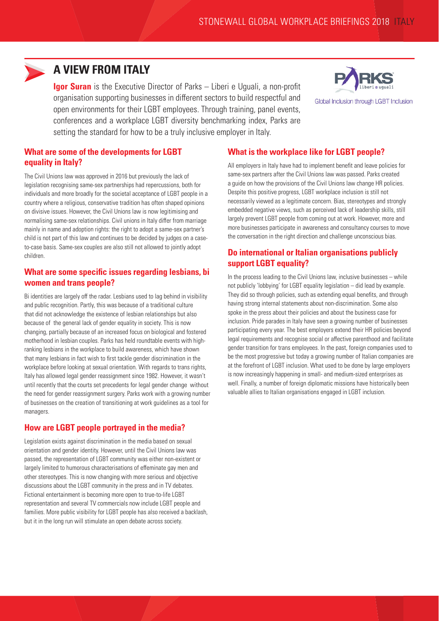

### **A VIEW FROM ITALY**

**Igor Suran** is the Executive Director of Parks – Liberi e Uguali, a non-profit organisation supporting businesses in different sectors to build respectful and open environments for their LGBT employees. Through training, panel events, conferences and a workplace LGBT diversity benchmarking index, Parks are setting the standard for how to be a truly inclusive employer in Italy.



Global Inclusion through LGBT Inclusion

#### **What are some of the developments for LGBT equality in Italy?**

The Civil Unions law was approved in 2016 but previously the lack of legislation recognising same-sex partnerships had repercussions, both for individuals and more broadly for the societal acceptance of LGBT people in a country where a religious, conservative tradition has often shaped opinions on divisive issues. However, the Civil Unions law is now legitimising and normalising same-sex relationships. Civil unions in Italy differ from marriage mainly in name and adoption rights: the right to adopt a same-sex partner's child is not part of this law and continues to be decided by judges on a caseto-case basis. Same-sex couples are also still not allowed to jointly adopt children.

#### **What are some specific issues regarding lesbians, bi women and trans people?**

Bi identities are largely off the radar. Lesbians used to lag behind in visibility and public recognition. Partly, this was because of a traditional culture that did not acknowledge the existence of lesbian relationships but also because of the general lack of gender equality in society. This is now changing, partially because of an increased focus on biological and fostered motherhood in lesbian couples. Parks has held roundtable events with highranking lesbians in the workplace to build awareness, which have shown that many lesbians in fact wish to first tackle gender discrimination in the workplace before looking at sexual orientation. With regards to trans rights, Italy has allowed legal gender reassignment since 1982. However, it wasn't until recently that the courts set precedents for legal gender change without the need for gender reassignment surgery. Parks work with a growing number of businesses on the creation of transitioning at work guidelines as a tool for managers.

### **How are LGBT people portrayed in the media?**

Legislation exists against discrimination in the media based on sexual orientation and gender identity. However, until the Civil Unions law was passed, the representation of LGBT community was either non-existent or largely limited to humorous characterisations of effeminate gay men and other stereotypes. This is now changing with more serious and objective discussions about the LGBT community in the press and in TV debates. Fictional entertainment is becoming more open to true-to-life LGBT representation and several TV commercials now include LGBT people and families. More public visibility for LGBT people has also received a backlash, but it in the long run will stimulate an open debate across society.

#### **What is the workplace like for LGBT people?**

All employers in Italy have had to implement benefit and leave policies for same-sex partners after the Civil Unions law was passed. Parks created a guide on how the provisions of the Civil Unions law change HR policies. Despite this positive progress, LGBT workplace inclusion is still not necessarily viewed as a legitimate concern. Bias, stereotypes and strongly embedded negative views, such as perceived lack of leadership skills, still largely prevent LGBT people from coming out at work. However, more and more businesses participate in awareness and consultancy courses to move the conversation in the right direction and challenge unconscious bias.

### **Do international or Italian organisations publicly support LGBT equality?**

In the process leading to the Civil Unions law, inclusive businesses – while not publicly 'lobbying' for LGBT equality legislation – did lead by example. They did so through policies, such as extending equal benefits, and through having strong internal statements about non-discrimination. Some also spoke in the press about their policies and about the business case for inclusion. Pride parades in Italy have seen a growing number of businesses participating every year. The best employers extend their HR policies beyond legal requirements and recognise social or affective parenthood and facilitate gender transition for trans employees. In the past, foreign companies used to be the most progressive but today a growing number of Italian companies are at the forefront of LGBT inclusion. What used to be done by large employers is now increasingly happening in small- and medium-sized enterprises as well. Finally, a number of foreign diplomatic missions have historically been valuable allies to Italian organisations engaged in LGBT inclusion.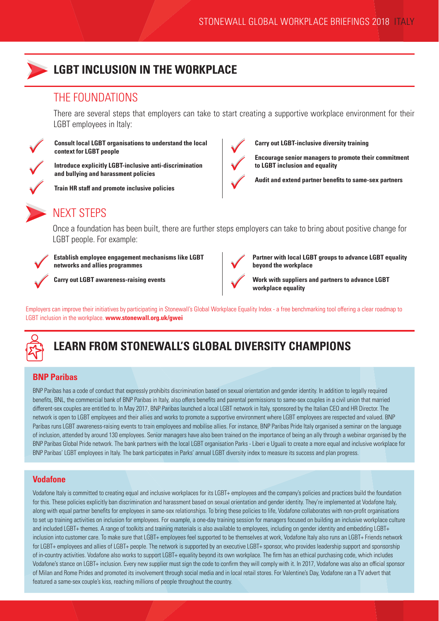

### **LGBT INCLUSION IN THE WORKPLACE**

### THE FOUNDATIONS

There are several steps that employers can take to start creating a supportive workplace environment for their LGBT employees in Italy:



**Consult local LGBT organisations to understand the local context for LGBT people**

**Introduce explicitly LGBT-inclusive anti-discrimination and bullying and harassment policies**

**Train HR staff and promote inclusive policies**



**Carry out LGBT-inclusive diversity training**

**Encourage senior managers to promote their commitment to LGBT inclusion and equality** 

**Audit and extend partner benefits to same-sex partners**



### NEXT STEPS

Once a foundation has been built, there are further steps employers can take to bring about positive change for LGBT people. For example:



**Carry out LGBT awareness-raising events** 

**networks and allies programmes**



**Partner with local LGBT groups to advance LGBT equality beyond the workplace**

**Work with suppliers and partners to advance LGBT workplace equality**

Employers can improve their initiatives by participating in Stonewall's Global Workplace Equality Index - a free benchmarking tool offering a clear roadmap to LGBT inclusion in the workplace. **www.stonewall.org.uk/gwei**



# **LEARN FROM STONEWALL'S GLOBAL DIVERSITY CHAMPIONS**

### **BNP Paribas**

BNP Paribas has a code of conduct that expressly prohibits discrimination based on sexual orientation and gender identity. In addition to legally required benefits, BNL, the commercial bank of BNP Paribas in Italy, also offers benefits and parental permissions to same-sex couples in a civil union that married different-sex couples are entitled to. In May 2017, BNP Paribas launched a local LGBT network in Italy, sponsored by the Italian CEO and HR Director. The network is open to LGBT employees and their allies and works to promote a supportive environment where LGBT employees are respected and valued. BNP Paribas runs LGBT awareness-raising events to train employees and mobilise allies. For instance, BNP Paribas Pride Italy organised a seminar on the language of inclusion, attended by around 130 employees. Senior managers have also been trained on the importance of being an ally through a webinar organised by the BNP Paribas Global Pride network. The bank partners with the local LGBT organisation Parks - Liberi e Uguali to create a more equal and inclusive workplace for BNP Paribas' LGBT employees in Italy. The bank participates in Parks' annual LGBT diversity index to measure its success and plan progress.

#### **Vodafone**

Vodafone Italy is committed to creating equal and inclusive workplaces for its LGBT+ employees and the company's policies and practices build the foundation for this. These policies explicitly ban discrimination and harassment based on sexual orientation and gender identity. They're implemented at Vodafone Italy, along with equal partner benefits for employees in same-sex relationships. To bring these policies to life, Vodafone collaborates with non-profit organisations to set up training activities on inclusion for employees. For example, a one-day training session for managers focused on building an inclusive workplace culture and included LGBT+ themes. A range of toolkits and training materials is also available to employees, including on gender identity and embedding LGBT+ inclusion into customer care. To make sure that LGBT+ employees feel supported to be themselves at work, Vodafone Italy also runs an LGBT+ Friends network for LGBT+ employees and allies of LGBT+ people. The network is supported by an executive LGBT+ sponsor, who provides leadership support and sponsorship of in-country activities. Vodafone also works to support LGBT+ equality beyond its own workplace. The firm has an ethical purchasing code, which includes Vodafone's stance on LGBT+ inclusion. Every new supplier must sign the code to confirm they will comply with it. In 2017, Vodafone was also an official sponsor of Milan and Rome Prides and promoted its involvement through social media and in local retail stores. For Valentine's Day, Vodafone ran a TV advert that featured a same-sex couple's kiss, reaching millions of people throughout the country.